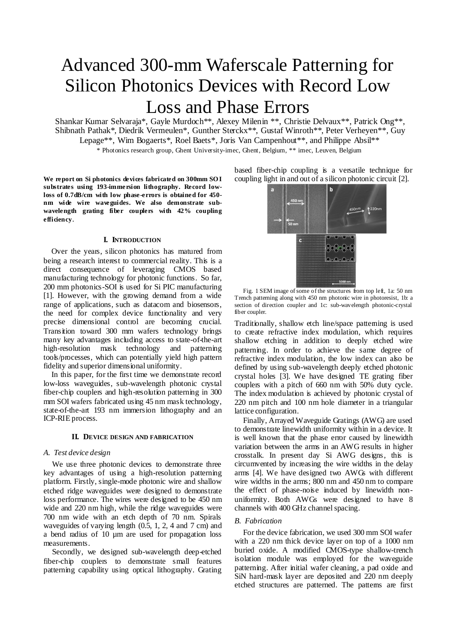# Advanced 300-mm Waferscale Patterning for Silicon Photonics Devices with Record Low Loss and Phase Errors

Shankar Kumar Selvaraja\*, Gayle Murdoch\*\*, Alexey Milenin \*\*, Christie Delvaux\*\*, Patrick Ong\*\*, Shibnath Pathak\*, [Diedrik Vermeulen\\*](mailto:Diedrik.Vermeulen@gmail.com), Gunther Sterckx\*\*, Gustaf Winroth\*\*, Peter Verheyen\*\*, Guy Lepage\*\*, Wim Bogaerts\*, Roel Baets\*, Joris Van Campenhout\*\*, and Philippe Absil\*\* \* Photonics research group, Ghent University-imec, Ghent, Belgium, \*\* imec, Leuven, Belgium

**We report on Si photonics devices fabricated on 300mm SO I substrates using 193-immersion lithography. Record lowloss of 0.7dB/cm with low phase-errors is obtained for 450 nm wide wire waveguides. We also demonstrate subwavelength grating fiber couplers with 42% coupling efficiency**.

#### **I. INTRODUCTION**

Over the years, silicon photonics has matured from being a research interest to commercial reality. This is a direct consequence of leveraging CMOS based manufacturing technology for photonic functions. So far, 200 mm photonics-SOI is used for Si PIC manufacturing [1]. However, with the growing demand from a wide range of applications, such as datacom and biosensors, the need for complex device functionality and very precise dimensional control are becoming crucial. Transition toward 300 mm wafers technology brings many key advantages including access to state-of-the-art high-resolution mask technology and patterning tools/processes, which can potentially yield high pattern fidelity and superior dimensional uniformity.

In this paper, for the first time we demonstrate record low-loss waveguides, sub-wavelength photonic crystal fiber-chip couplers and high-resolution patterning in 300 mm SOI wafers fabricated using 45 nm mask technology, state-of-the-art 193 nm immersion lithography and an ICP-RIE process.

#### **II. DEVICE DESIGN AND FABRICATION**

### *A. Test device design*

We use three photonic devices to demonstrate three key advantages of using a high-resolution patterning platform. Firstly, single-mode photonic wire and shallow etched ridge waveguides were designed to demonstrate loss performance. The wires were designed to be 450 nm wide and 220 nm high, while the ridge waveguides were 700 nm wide with an etch depth of 70 nm. Spirals waveguides of varying length (0.5, 1, 2, 4 and 7 cm) and a bend radius of 10 µm are used for propagation loss measurements.

Secondly, we designed sub-wavelength deep-etched fiber-chip couplers to demonstrate small features patterning capability using optical lithography. Grating based fiber-chip coupling is a versatile technique for coupling light in and out of a silicon photonic circuit [2].



Fig. 1 SEM image of some of the structures from top left, 1a: 50 nm Trench patterning along with 450 nm photonic wire in photoresist, 1b: a section of direction coupler and 1c: sub-wavelength photonic-crystal fiber coupler.

Traditionally, shallow etch line/space patterning is used to create refractive index modulation, which requires shallow etching in addition to deeply etched wire patterning. In order to achieve the same degree of refractive index modulation, the low index can also be defined by using sub-wavelength deeply etched photonic crystal holes [3]. We have designed TE grating fiber couplers with a pitch of 660 nm with 50% duty cycle. The index modulation is achieved by photonic crystal of 220 nm pitch and 100 nm hole diameter in a triangular lattice configuration.

Finally, Arrayed Waveguide Gratings (AWG) are used to demonstrate linewidth uniformity within in a device. It is well known that the phase error caused by linewidth variation between the arms in an AWG results in higher crosstalk. In present day Si AWG designs, this is circumvented by increasing the wire widths in the delay arms [4]. We have designed two AWGs with different wire widths in the arms; 800 nm and 450 nm to compare the effect of phase-noise induced by linewidth nonuniformity. Both AWGs were designed to have 8 channels with 400 GHz channel spacing.

## *B. Fabrication*

For the device fabrication, we used 300 mm SOI wafer with a 220 nm thick device layer on top of a 1000 nm buried oxide. A modified CMOS-type shallow-trench isolation module was employed for the waveguide patterning. After initial wafer cleaning, a pad oxide and SiN hard-mask layer are deposited and 220 nm deeply etched structures are patterned. The patterns are first